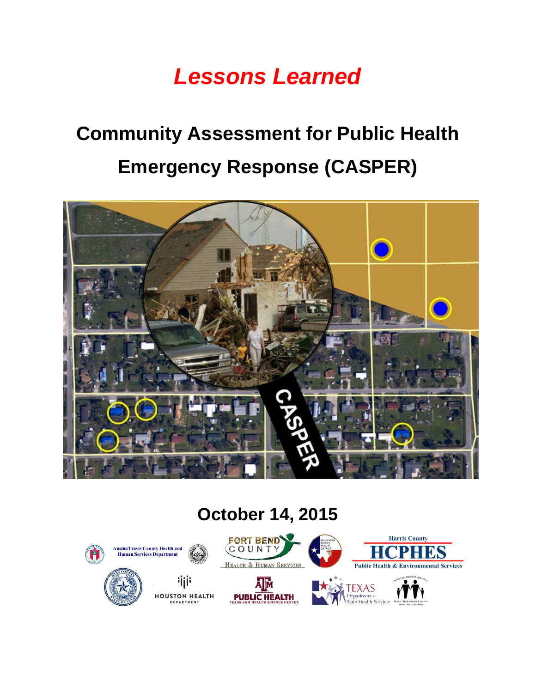## *Lessons Learned*

# **Community Assessment for Public Health Emergency Response (CASPER)**



#### **October 14, 2015**

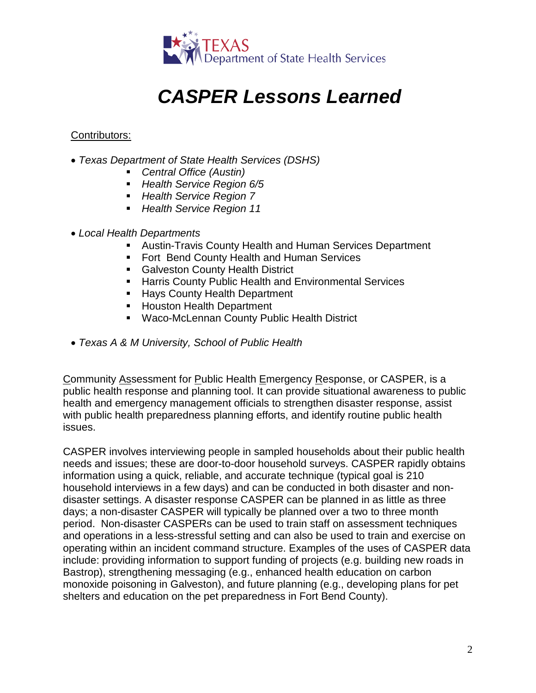

### *CASPER Lessons Learned*

#### Contributors:

- *Texas Department of State Health Services (DSHS)*
	- *Central Office (Austin)*
	- *Health Service Region 6/5*
	- *Health Service Region 7*
	- *Health Service Region 11*
- *Local Health Departments*
	- Austin-Travis County Health and Human Services Department
	- **Fort Bend County Health and Human Services**
	- **Galveston County Health District**
	- **Harris County Public Health and Environmental Services**
	- **Hays County Health Department**
	- **Houston Health Department**
	- Waco-McLennan County Public Health District
- *Texas A & M University, School of Public Health*

Community Assessment for Public Health Emergency Response, or CASPER, is a public health response and planning tool. It can provide situational awareness to public health and emergency management officials to strengthen disaster response, assist with public health preparedness planning efforts, and identify routine public health issues.

CASPER involves interviewing people in sampled households about their public health needs and issues; these are door-to-door household surveys. CASPER rapidly obtains information using a quick, reliable, and accurate technique (typical goal is 210 household interviews in a few days) and can be conducted in both disaster and nondisaster settings. A disaster response CASPER can be planned in as little as three days; a non-disaster CASPER will typically be planned over a two to three month period. Non-disaster CASPERs can be used to train staff on assessment techniques and operations in a less-stressful setting and can also be used to train and exercise on operating within an incident command structure. Examples of the uses of CASPER data include: providing information to support funding of projects (e.g. building new roads in Bastrop), strengthening messaging (e.g., enhanced health education on carbon monoxide poisoning in Galveston), and future planning (e.g., developing plans for pet shelters and education on the pet preparedness in Fort Bend County).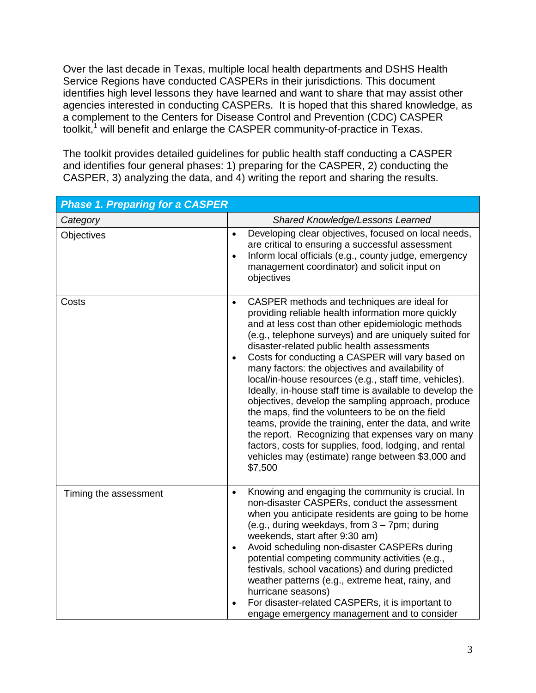Over the last decade in Texas, multiple local health departments and DSHS Health Service Regions have conducted CASPERs in their jurisdictions. This document identifies high level lessons they have learned and want to share that may assist other agencies interested in conducting CASPERs. It is hoped that this shared knowledge, as a complement to the Centers for Disease Control and Prevention (CDC) CASPER toolkit,<sup>1</sup> will benefit and enlarge the CASPER community-of-practice in Texas.

The toolkit provides detailed guidelines for public health staff conducting a CASPER and identifies four general phases: 1) preparing for the CASPER, 2) conducting the CASPER, 3) analyzing the data, and 4) writing the report and sharing the results.

| <b>Phase 1. Preparing for a CASPER</b> |                                                                                                                                                                                                                                                                                                                                                                                                                                                                                                                                                                                                                                                                                                                                                                                                                                                                           |  |
|----------------------------------------|---------------------------------------------------------------------------------------------------------------------------------------------------------------------------------------------------------------------------------------------------------------------------------------------------------------------------------------------------------------------------------------------------------------------------------------------------------------------------------------------------------------------------------------------------------------------------------------------------------------------------------------------------------------------------------------------------------------------------------------------------------------------------------------------------------------------------------------------------------------------------|--|
| Category                               | Shared Knowledge/Lessons Learned                                                                                                                                                                                                                                                                                                                                                                                                                                                                                                                                                                                                                                                                                                                                                                                                                                          |  |
| Objectives                             | Developing clear objectives, focused on local needs,<br>$\bullet$<br>are critical to ensuring a successful assessment<br>Inform local officials (e.g., county judge, emergency<br>$\bullet$<br>management coordinator) and solicit input on<br>objectives                                                                                                                                                                                                                                                                                                                                                                                                                                                                                                                                                                                                                 |  |
| Costs                                  | CASPER methods and techniques are ideal for<br>$\bullet$<br>providing reliable health information more quickly<br>and at less cost than other epidemiologic methods<br>(e.g., telephone surveys) and are uniquely suited for<br>disaster-related public health assessments<br>Costs for conducting a CASPER will vary based on<br>$\bullet$<br>many factors: the objectives and availability of<br>local/in-house resources (e.g., staff time, vehicles).<br>Ideally, in-house staff time is available to develop the<br>objectives, develop the sampling approach, produce<br>the maps, find the volunteers to be on the field<br>teams, provide the training, enter the data, and write<br>the report. Recognizing that expenses vary on many<br>factors, costs for supplies, food, lodging, and rental<br>vehicles may (estimate) range between \$3,000 and<br>\$7,500 |  |
| Timing the assessment                  | Knowing and engaging the community is crucial. In<br>$\bullet$<br>non-disaster CASPERs, conduct the assessment<br>when you anticipate residents are going to be home<br>(e.g., during weekdays, from 3 - 7pm; during<br>weekends, start after 9:30 am)<br>Avoid scheduling non-disaster CASPERs during<br>$\bullet$<br>potential competing community activities (e.g.,<br>festivals, school vacations) and during predicted<br>weather patterns (e.g., extreme heat, rainy, and<br>hurricane seasons)<br>For disaster-related CASPERs, it is important to<br>engage emergency management and to consider                                                                                                                                                                                                                                                                  |  |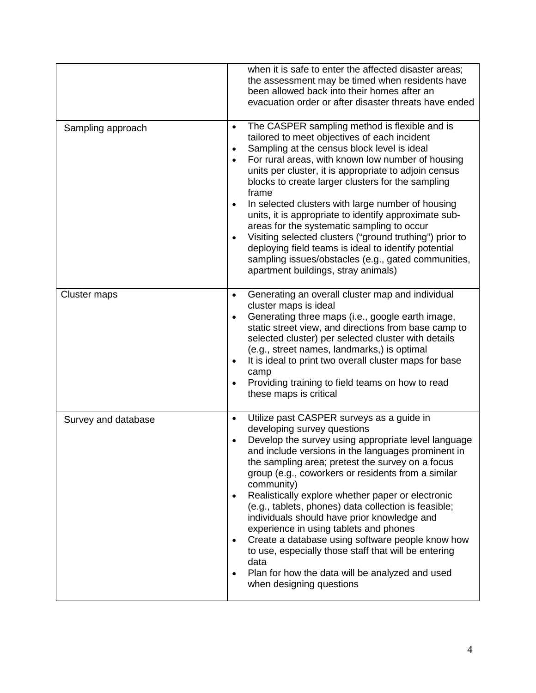|                     | when it is safe to enter the affected disaster areas;<br>the assessment may be timed when residents have<br>been allowed back into their homes after an<br>evacuation order or after disaster threats have ended                                                                                                                                                                                                                                                                                                                                                                                                                                                                                                                                                                        |
|---------------------|-----------------------------------------------------------------------------------------------------------------------------------------------------------------------------------------------------------------------------------------------------------------------------------------------------------------------------------------------------------------------------------------------------------------------------------------------------------------------------------------------------------------------------------------------------------------------------------------------------------------------------------------------------------------------------------------------------------------------------------------------------------------------------------------|
| Sampling approach   | The CASPER sampling method is flexible and is<br>$\bullet$<br>tailored to meet objectives of each incident<br>Sampling at the census block level is ideal<br>٠<br>For rural areas, with known low number of housing<br>$\bullet$<br>units per cluster, it is appropriate to adjoin census<br>blocks to create larger clusters for the sampling<br>frame<br>In selected clusters with large number of housing<br>$\bullet$<br>units, it is appropriate to identify approximate sub-<br>areas for the systematic sampling to occur<br>Visiting selected clusters ("ground truthing") prior to<br>$\bullet$<br>deploying field teams is ideal to identify potential<br>sampling issues/obstacles (e.g., gated communities,<br>apartment buildings, stray animals)                          |
| Cluster maps        | Generating an overall cluster map and individual<br>$\bullet$<br>cluster maps is ideal<br>Generating three maps (i.e., google earth image,<br>$\bullet$<br>static street view, and directions from base camp to<br>selected cluster) per selected cluster with details<br>(e.g., street names, landmarks,) is optimal<br>It is ideal to print two overall cluster maps for base<br>$\bullet$<br>camp<br>Providing training to field teams on how to read<br>$\bullet$<br>these maps is critical                                                                                                                                                                                                                                                                                         |
| Survey and database | Utilize past CASPER surveys as a guide in<br>$\bullet$<br>developing survey questions<br>Develop the survey using appropriate level language<br>$\bullet$<br>and include versions in the languages prominent in<br>the sampling area; pretest the survey on a focus<br>group (e.g., coworkers or residents from a similar<br>community)<br>Realistically explore whether paper or electronic<br>$\bullet$<br>(e.g., tablets, phones) data collection is feasible;<br>individuals should have prior knowledge and<br>experience in using tablets and phones<br>Create a database using software people know how<br>$\bullet$<br>to use, especially those staff that will be entering<br>data<br>Plan for how the data will be analyzed and used<br>$\bullet$<br>when designing questions |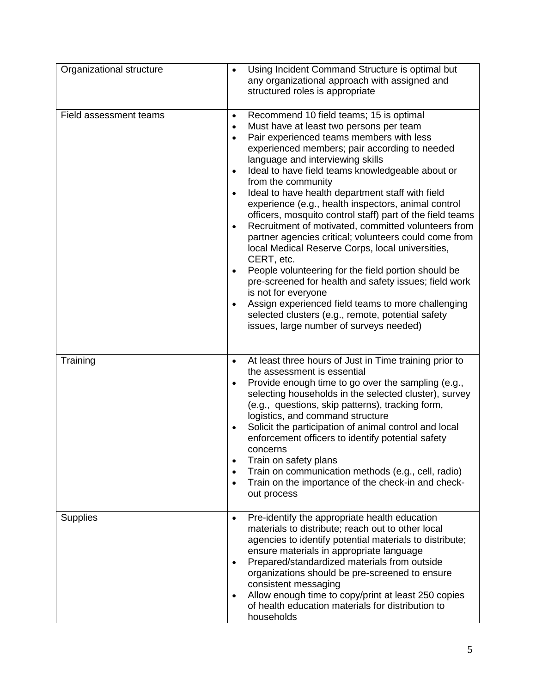| Organizational structure | Using Incident Command Structure is optimal but<br>$\bullet$<br>any organizational approach with assigned and<br>structured roles is appropriate                                                                                                                                                                                                                                                                                                                                                                                                                                                                                                                                                                                                                                                                                                                                                                                                                                                                                                             |
|--------------------------|--------------------------------------------------------------------------------------------------------------------------------------------------------------------------------------------------------------------------------------------------------------------------------------------------------------------------------------------------------------------------------------------------------------------------------------------------------------------------------------------------------------------------------------------------------------------------------------------------------------------------------------------------------------------------------------------------------------------------------------------------------------------------------------------------------------------------------------------------------------------------------------------------------------------------------------------------------------------------------------------------------------------------------------------------------------|
| Field assessment teams   | Recommend 10 field teams; 15 is optimal<br>$\bullet$<br>Must have at least two persons per team<br>$\bullet$<br>Pair experienced teams members with less<br>$\bullet$<br>experienced members; pair according to needed<br>language and interviewing skills<br>Ideal to have field teams knowledgeable about or<br>$\bullet$<br>from the community<br>Ideal to have health department staff with field<br>$\bullet$<br>experience (e.g., health inspectors, animal control<br>officers, mosquito control staff) part of the field teams<br>Recruitment of motivated, committed volunteers from<br>$\bullet$<br>partner agencies critical; volunteers could come from<br>local Medical Reserve Corps, local universities,<br>CERT, etc.<br>People volunteering for the field portion should be<br>$\bullet$<br>pre-screened for health and safety issues; field work<br>is not for everyone<br>Assign experienced field teams to more challenging<br>$\bullet$<br>selected clusters (e.g., remote, potential safety<br>issues, large number of surveys needed) |
| Training                 | At least three hours of Just in Time training prior to<br>$\bullet$<br>the assessment is essential<br>Provide enough time to go over the sampling (e.g.,<br>$\bullet$<br>selecting households in the selected cluster), survey<br>(e.g., questions, skip patterns), tracking form,<br>logistics, and command structure<br>Solicit the participation of animal control and local<br>$\bullet$<br>enforcement officers to identify potential safety<br>concerns<br>Train on safety plans<br>$\bullet$<br>Train on communication methods (e.g., cell, radio)<br>$\bullet$<br>Train on the importance of the check-in and check-<br>out process                                                                                                                                                                                                                                                                                                                                                                                                                  |
| <b>Supplies</b>          | Pre-identify the appropriate health education<br>$\bullet$<br>materials to distribute; reach out to other local<br>agencies to identify potential materials to distribute;<br>ensure materials in appropriate language<br>Prepared/standardized materials from outside<br>$\bullet$<br>organizations should be pre-screened to ensure<br>consistent messaging<br>Allow enough time to copy/print at least 250 copies<br>$\bullet$<br>of health education materials for distribution to<br>households                                                                                                                                                                                                                                                                                                                                                                                                                                                                                                                                                         |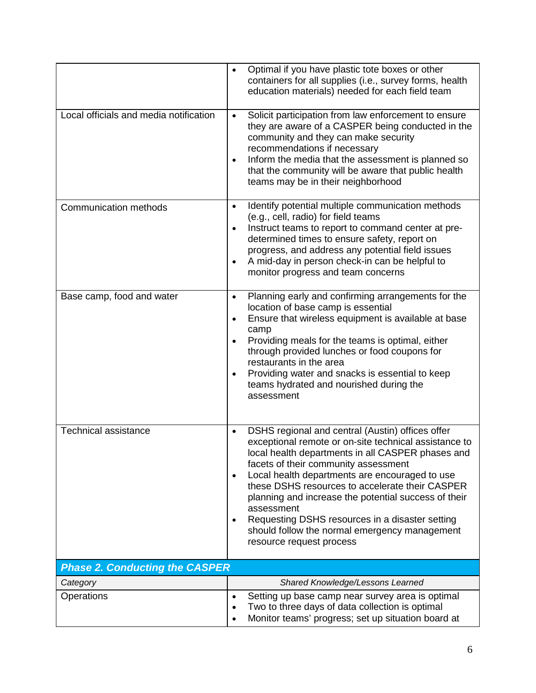|                                        | Optimal if you have plastic tote boxes or other<br>$\bullet$<br>containers for all supplies (i.e., survey forms, health<br>education materials) needed for each field team                                                                                                                                                                                                                                                                                                                                                                               |
|----------------------------------------|----------------------------------------------------------------------------------------------------------------------------------------------------------------------------------------------------------------------------------------------------------------------------------------------------------------------------------------------------------------------------------------------------------------------------------------------------------------------------------------------------------------------------------------------------------|
| Local officials and media notification | Solicit participation from law enforcement to ensure<br>$\bullet$<br>they are aware of a CASPER being conducted in the<br>community and they can make security<br>recommendations if necessary<br>Inform the media that the assessment is planned so<br>$\bullet$<br>that the community will be aware that public health<br>teams may be in their neighborhood                                                                                                                                                                                           |
| <b>Communication methods</b>           | Identify potential multiple communication methods<br>$\bullet$<br>(e.g., cell, radio) for field teams<br>Instruct teams to report to command center at pre-<br>$\bullet$<br>determined times to ensure safety, report on<br>progress, and address any potential field issues<br>A mid-day in person check-in can be helpful to<br>$\bullet$<br>monitor progress and team concerns                                                                                                                                                                        |
| Base camp, food and water              | Planning early and confirming arrangements for the<br>$\bullet$<br>location of base camp is essential<br>Ensure that wireless equipment is available at base<br>$\bullet$<br>camp<br>Providing meals for the teams is optimal, either<br>$\bullet$<br>through provided lunches or food coupons for<br>restaurants in the area<br>Providing water and snacks is essential to keep<br>$\bullet$<br>teams hydrated and nourished during the<br>assessment                                                                                                   |
| <b>Technical assistance</b>            | DSHS regional and central (Austin) offices offer<br>$\bullet$<br>exceptional remote or on-site technical assistance to<br>local health departments in all CASPER phases and<br>facets of their community assessment<br>Local health departments are encouraged to use<br>$\bullet$<br>these DSHS resources to accelerate their CASPER<br>planning and increase the potential success of their<br>assessment<br>Requesting DSHS resources in a disaster setting<br>$\bullet$<br>should follow the normal emergency management<br>resource request process |
| <b>Phase 2. Conducting the CASPER</b>  |                                                                                                                                                                                                                                                                                                                                                                                                                                                                                                                                                          |
| Category                               | Shared Knowledge/Lessons Learned                                                                                                                                                                                                                                                                                                                                                                                                                                                                                                                         |
| Operations                             | Setting up base camp near survey area is optimal<br>$\bullet$<br>Two to three days of data collection is optimal<br>$\bullet$<br>Monitor teams' progress; set up situation board at                                                                                                                                                                                                                                                                                                                                                                      |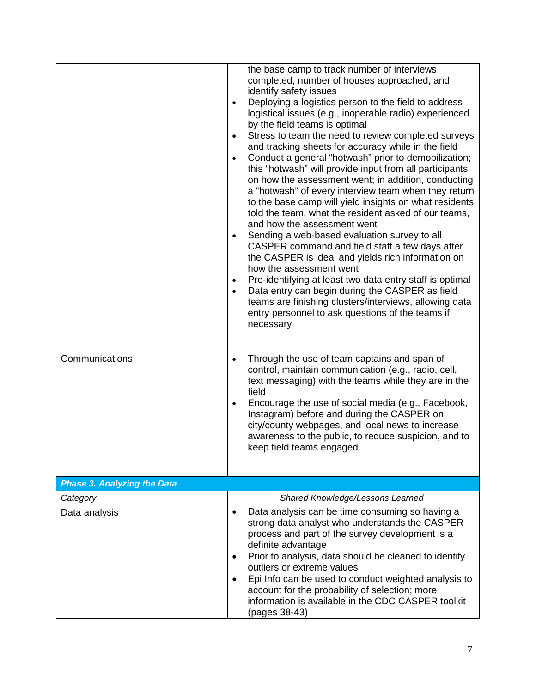|                                    | the base camp to track number of interviews<br>completed, number of houses approached, and<br>identify safety issues<br>Deploying a logistics person to the field to address<br>$\bullet$<br>logistical issues (e.g., inoperable radio) experienced<br>by the field teams is optimal<br>Stress to team the need to review completed surveys<br>$\bullet$<br>and tracking sheets for accuracy while in the field<br>Conduct a general "hotwash" prior to demobilization;<br>$\bullet$<br>this "hotwash" will provide input from all participants<br>on how the assessment went; in addition, conducting<br>a "hotwash" of every interview team when they return<br>to the base camp will yield insights on what residents<br>told the team, what the resident asked of our teams,<br>and how the assessment went<br>Sending a web-based evaluation survey to all<br>$\bullet$<br>CASPER command and field staff a few days after<br>the CASPER is ideal and yields rich information on<br>how the assessment went<br>Pre-identifying at least two data entry staff is optimal<br>$\bullet$<br>Data entry can begin during the CASPER as field<br>$\bullet$<br>teams are finishing clusters/interviews, allowing data<br>entry personnel to ask questions of the teams if<br>necessary |
|------------------------------------|--------------------------------------------------------------------------------------------------------------------------------------------------------------------------------------------------------------------------------------------------------------------------------------------------------------------------------------------------------------------------------------------------------------------------------------------------------------------------------------------------------------------------------------------------------------------------------------------------------------------------------------------------------------------------------------------------------------------------------------------------------------------------------------------------------------------------------------------------------------------------------------------------------------------------------------------------------------------------------------------------------------------------------------------------------------------------------------------------------------------------------------------------------------------------------------------------------------------------------------------------------------------------------------|
| Communications                     | Through the use of team captains and span of<br>$\bullet$<br>control, maintain communication (e.g., radio, cell,<br>text messaging) with the teams while they are in the<br>field<br>Encourage the use of social media (e.g., Facebook,<br>$\bullet$<br>Instagram) before and during the CASPER on<br>city/county webpages, and local news to increase<br>awareness to the public, to reduce suspicion, and to<br>keep field teams engaged                                                                                                                                                                                                                                                                                                                                                                                                                                                                                                                                                                                                                                                                                                                                                                                                                                           |
| <b>Phase 3. Analyzing the Data</b> |                                                                                                                                                                                                                                                                                                                                                                                                                                                                                                                                                                                                                                                                                                                                                                                                                                                                                                                                                                                                                                                                                                                                                                                                                                                                                      |
| Category                           | Shared Knowledge/Lessons Learned                                                                                                                                                                                                                                                                                                                                                                                                                                                                                                                                                                                                                                                                                                                                                                                                                                                                                                                                                                                                                                                                                                                                                                                                                                                     |
| Data analysis                      | Data analysis can be time consuming so having a<br>$\bullet$<br>strong data analyst who understands the CASPER<br>process and part of the survey development is a<br>definite advantage<br>Prior to analysis, data should be cleaned to identify<br>٠<br>outliers or extreme values<br>Epi Info can be used to conduct weighted analysis to<br>$\bullet$<br>account for the probability of selection; more<br>information is available in the CDC CASPER toolkit<br>(pages 38-43)                                                                                                                                                                                                                                                                                                                                                                                                                                                                                                                                                                                                                                                                                                                                                                                                    |